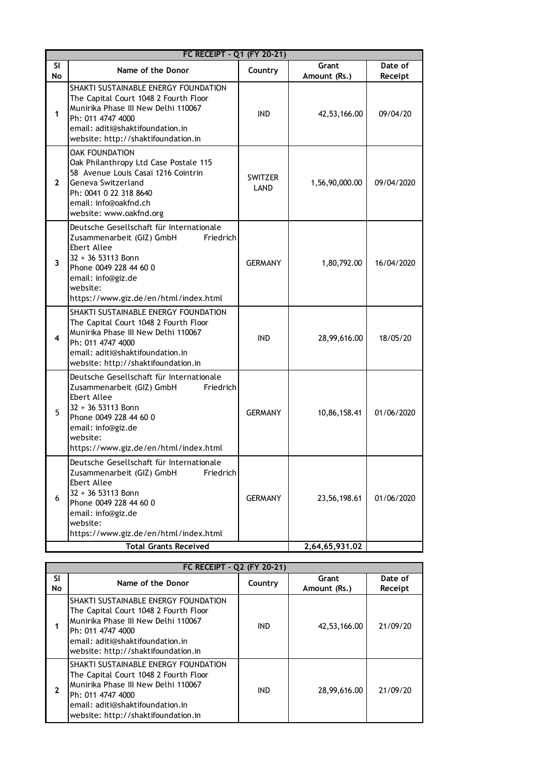| FC RECEIPT - Q1 (FY 20-21) |                                                                                                                                                                                                                              |                 |                       |                    |  |
|----------------------------|------------------------------------------------------------------------------------------------------------------------------------------------------------------------------------------------------------------------------|-----------------|-----------------------|--------------------|--|
| SI<br>No                   | Name of the Donor                                                                                                                                                                                                            | Country         | Grant<br>Amount (Rs.) | Date of<br>Receipt |  |
| 1                          | SHAKTI SUSTAINABLE ENERGY FOUNDATION<br>The Capital Court 1048 2 Fourth Floor<br>Munirika Phase III New Delhi 110067<br>Ph: 011 4747 4000<br>email: aditi@shaktifoundation.in<br>website: http://shaktifoundation.in         | IND.            | 42,53,166.00          | 09/04/20           |  |
| $\mathbf{2}$               | <b>OAK FOUNDATION</b><br>Oak Philanthropy Ltd Case Postale 115<br>58 Avenue Louis Casaï 1216 Cointrin<br>Geneva Switzerland<br>Ph: 0041 0 22 318 8640<br>email: info@oakfnd.ch<br>website: www.oakfnd.org                    | SWITZER<br>LAND | 1,56,90,000.00        | 09/04/2020         |  |
| 3                          | Deutsche Gesellschaft für Internationale<br>Zusammenarbeit (GIZ) GmbH<br>Friedrich<br>Ebert Allee<br>32 + 36 53113 Bonn<br>Phone 0049 228 44 60 0<br>email: info@giz.de<br>website:<br>https://www.giz.de/en/html/index.html | <b>GERMANY</b>  | 1,80,792.00           | 16/04/2020         |  |
| 4                          | SHAKTI SUSTAINABLE ENERGY FOUNDATION<br>The Capital Court 1048 2 Fourth Floor<br>Munirika Phase III New Delhi 110067<br>Ph: 011 4747 4000<br>email: aditi@shaktifoundation.in<br>website: http://shaktifoundation.in         | <b>IND</b>      | 28,99,616.00          | 18/05/20           |  |
| 5                          | Deutsche Gesellschaft für Internationale<br>Zusammenarbeit (GIZ) GmbH<br>Friedrich<br>Ebert Allee<br>32 + 36 53113 Bonn<br>Phone 0049 228 44 60 0<br>email: info@giz.de<br>website:<br>https://www.giz.de/en/html/index.html | <b>GERMANY</b>  | 10,86,158.41          | 01/06/2020         |  |
| 6                          | Deutsche Gesellschaft für Internationale<br>Zusammenarbeit (GIZ) GmbH<br>Friedrich<br>Ebert Allee<br>32 + 36 53113 Bonn<br>Phone 0049 228 44 60 0<br>email: info@giz.de<br>website:<br>https://www.giz.de/en/html/index.html | <b>GERMANY</b>  | 23,56,198.61          | 01/06/2020         |  |
|                            | <b>Total Grants Received</b>                                                                                                                                                                                                 |                 | 2,64,65,931.02        |                    |  |

| <b>Total Grants Received</b> |                                                                                                                                                                                                                      | 2,64,65,931.02 |                       |                    |
|------------------------------|----------------------------------------------------------------------------------------------------------------------------------------------------------------------------------------------------------------------|----------------|-----------------------|--------------------|
| FC RECEIPT - Q2 (FY 20-21)   |                                                                                                                                                                                                                      |                |                       |                    |
| <b>SI</b><br>No              | Name of the Donor                                                                                                                                                                                                    | Country        | Grant<br>Amount (Rs.) | Date of<br>Receipt |
|                              | SHAKTI SUSTAINABLE ENERGY FOUNDATION<br>The Capital Court 1048 2 Fourth Floor<br>Munirika Phase III New Delhi 110067<br>Ph: 011 4747 4000<br>email: aditi@shaktifoundation.in<br>website: http://shaktifoundation.in | <b>IND</b>     | 42,53,166.00          | 21/09/20           |
|                              | SHAKTI SUSTAINABLE ENERGY FOUNDATION<br>The Capital Court 1048 2 Fourth Floor<br>Munirika Phase III New Delhi 110067<br>Ph: 011 4747 4000<br>email: aditi@shaktifoundation.in<br>website: http://shaktifoundation.in | <b>IND</b>     | 28,99,616.00          | 21/09/20           |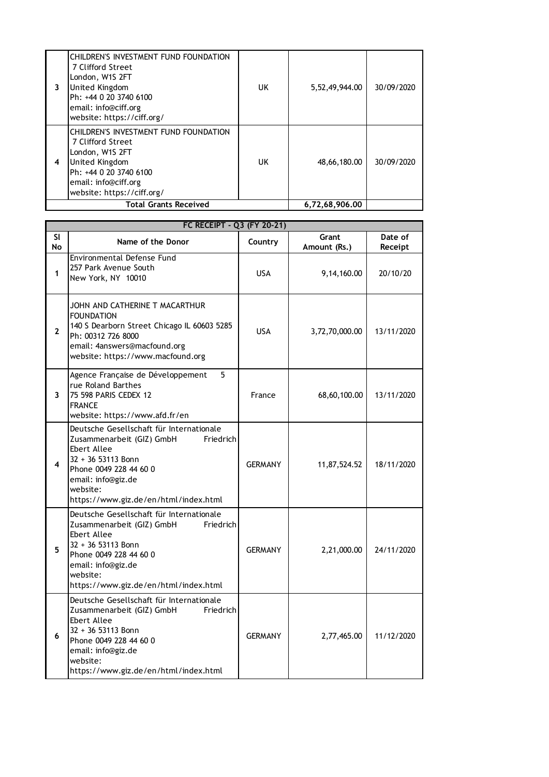|   | <b>Total Grants Received</b>                                                                                                                                                    |     | 6,72,68,906.00 |            |
|---|---------------------------------------------------------------------------------------------------------------------------------------------------------------------------------|-----|----------------|------------|
| 4 | CHILDREN'S INVESTMENT FUND FOUNDATION<br>7 Clifford Street<br>London, W1S 2FT<br>United Kingdom<br>Ph: +44 0 20 3740 6100<br>email: info@ciff.org<br>website: https://ciff.org/ | UK  | 48,66,180,00   | 30/09/2020 |
| 3 | CHILDREN'S INVESTMENT FUND FOUNDATION<br>7 Clifford Street<br>London, W1S 2FT<br>United Kingdom<br>Ph: +44 0 20 3740 6100<br>email: info@ciff.org<br>website: https://ciff.org/ | UK. | 5,52,49,944.00 | 30/09/2020 |

| FC RECEIPT - Q3 (FY 20-21) |                                                                                                                                                                                                                              |                |                       |                    |  |
|----------------------------|------------------------------------------------------------------------------------------------------------------------------------------------------------------------------------------------------------------------------|----------------|-----------------------|--------------------|--|
| <b>SI</b><br>No            | Name of the Donor                                                                                                                                                                                                            | Country        | Grant<br>Amount (Rs.) | Date of<br>Receipt |  |
| 1                          | Environmental Defense Fund<br>257 Park Avenue South<br>New York, NY 10010                                                                                                                                                    | <b>USA</b>     | 9,14,160.00           | 20/10/20           |  |
| $\mathbf{2}$               | JOHN AND CATHERINE T MACARTHUR<br><b>FOUNDATION</b><br>140 S Dearborn Street Chicago IL 60603 5285<br>Ph: 00312 726 8000<br>email: 4answers@macfound.org<br>website: https://www.macfound.org                                | <b>USA</b>     | 3,72,70,000.00        | 13/11/2020         |  |
| 3                          | Agence Française de Développement<br>5<br>rue Roland Barthes<br>75 598 PARIS CEDEX 12<br><b>FRANCE</b><br>website: https://www.afd.fr/en                                                                                     | France         | 68,60,100.00          | 13/11/2020         |  |
| 4                          | Deutsche Gesellschaft für Internationale<br>Zusammenarbeit (GIZ) GmbH<br>Friedrich<br>Ebert Allee<br>32 + 36 53113 Bonn<br>Phone 0049 228 44 60 0<br>email: info@giz.de<br>website:<br>https://www.giz.de/en/html/index.html | <b>GERMANY</b> | 11,87,524.52          | 18/11/2020         |  |
| 5                          | Deutsche Gesellschaft für Internationale<br>Zusammenarbeit (GIZ) GmbH<br>Friedrich<br>Ebert Allee<br>32 + 36 53113 Bonn<br>Phone 0049 228 44 60 0<br>email: info@giz.de<br>website:<br>https://www.giz.de/en/html/index.html | <b>GERMANY</b> | 2,21,000.00           | 24/11/2020         |  |
| 6                          | Deutsche Gesellschaft für Internationale<br>Zusammenarbeit (GIZ) GmbH<br>Friedrich<br>Ebert Allee<br>32 + 36 53113 Bonn<br>Phone 0049 228 44 60 0<br>email: info@giz.de<br>website:<br>https://www.giz.de/en/html/index.html | <b>GERMANY</b> | 2,77,465.00           | 11/12/2020         |  |